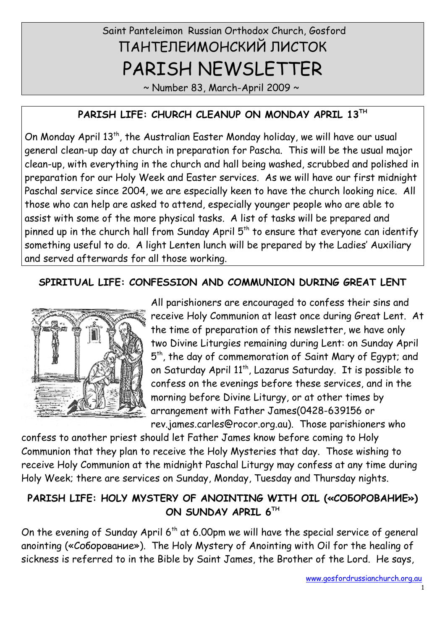# Saint Panteleimon Russian Orthodox Church, Gosford ПАНТЕЛЕИМОНСКИЙ ЛИСТОК PARISH NEWSLETTER

 $\sim$  Number 83, March-April 2009  $\sim$ 

#### **PARISH LIFE: CHURCH CLEANUP ON MONDAY APRIL 13TH**

On Monday April 13<sup>th</sup>, the Australian Easter Monday holiday, we will have our usual general clean-up day at church in preparation for Pascha. This will be the usual major clean-up, with everything in the church and hall being washed, scrubbed and polished in preparation for our Holy Week and Easter services. As we will have our first midnight Paschal service since 2004, we are especially keen to have the church looking nice. All those who can help are asked to attend, especially younger people who are able to assist with some of the more physical tasks. A list of tasks will be prepared and pinned up in the church hall from Sunday April  $5<sup>th</sup>$  to ensure that everyone can identify something useful to do. A light Lenten lunch will be prepared by the Ladies' Auxiliary and served afterwards for all those working.

#### **SPIRITUAL LIFE: CONFESSION AND COMMUNION DURING GREAT LENT**



All parishioners are encouraged to confess their sins and receive Holy Communion at least once during Great Lent. At the time of preparation of this newsletter, we have only two Divine Liturgies remaining during Lent: on Sunday April 5<sup>th</sup>, the day of commemoration of Saint Mary of Egypt; and on Saturday April 11<sup>th</sup>, Lazarus Saturday. It is possible to confess on the evenings before these services, and in the morning before Divine Liturgy, or at other times by arrangement with Father James(0428-639156 or rev.james.carles@rocor.org.au). Those parishioners who

confess to another priest should let Father James know before coming to Holy Communion that they plan to receive the Holy Mysteries that day. Those wishing to receive Holy Communion at the midnight Paschal Liturgy may confess at any time during Holy Week; there are services on Sunday, Monday, Tuesday and Thursday nights.

## **PARISH LIFE: HOLY MYSTERY OF ANOINTING WITH OIL («СОБОРОВАНИЕ») ON SUNDAY APRIL 6TH**

On the evening of Sunday April  $6<sup>th</sup>$  at 6.00pm we will have the special service of general anointing («Соборование»). The Holy Mystery of Anointing with Oil for the healing of sickness is referred to in the Bible by Saint James, the Brother of the Lord. He says,

1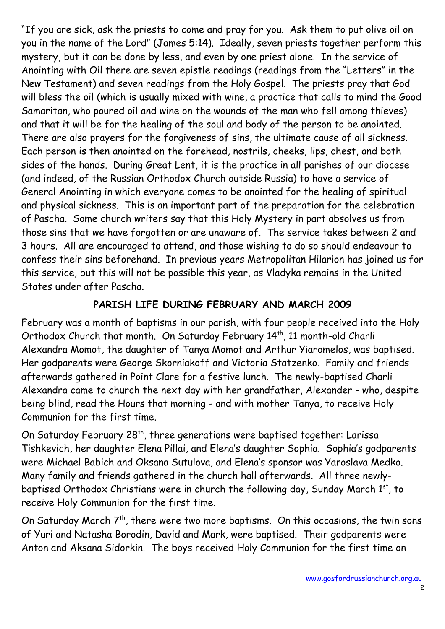"If you are sick, ask the priests to come and pray for you. Ask them to put olive oil on you in the name of the Lord" (James 5:14). Ideally, seven priests together perform this mystery, but it can be done by less, and even by one priest alone. In the service of Anointing with Oil there are seven epistle readings (readings from the "Letters" in the New Testament) and seven readings from the Holy Gospel. The priests pray that God will bless the oil (which is usually mixed with wine, a practice that calls to mind the Good Samaritan, who poured oil and wine on the wounds of the man who fell among thieves) and that it will be for the healing of the soul and body of the person to be anointed. There are also prayers for the forgiveness of sins, the ultimate cause of all sickness. Each person is then anointed on the forehead, nostrils, cheeks, lips, chest, and both sides of the hands. During Great Lent, it is the practice in all parishes of our diocese (and indeed, of the Russian Orthodox Church outside Russia) to have a service of General Anointing in which everyone comes to be anointed for the healing of spiritual and physical sickness. This is an important part of the preparation for the celebration of Pascha. Some church writers say that this Holy Mystery in part absolves us from those sins that we have forgotten or are unaware of. The service takes between 2 and 3 hours. All are encouraged to attend, and those wishing to do so should endeavour to confess their sins beforehand. In previous years Metropolitan Hilarion has joined us for this service, but this will not be possible this year, as Vladyka remains in the United States under after Pascha.

## **PARISH LIFE DURING FEBRUARY AND MARCH 2009**

February was a month of baptisms in our parish, with four people received into the Holy Orthodox Church that month. On Saturday February 14<sup>th</sup>, 11 month-old Charli Alexandra Momot, the daughter of Tanya Momot and Arthur Yiaromelos, was baptised. Her godparents were George Skorniakoff and Victoria Statzenko. Family and friends afterwards gathered in Point Clare for a festive lunch. The newly-baptised Charli Alexandra came to church the next day with her grandfather, Alexander - who, despite being blind, read the Hours that morning - and with mother Tanya, to receive Holy Communion for the first time.

On Saturday February 28<sup>th</sup>, three generations were baptised together: Larissa Tishkevich, her daughter Elena Pillai, and Elena's daughter Sophia. Sophia's godparents were Michael Babich and Oksana Sutulova, and Elena's sponsor was Yaroslava Medko. Many family and friends gathered in the church hall afterwards. All three newlybaptised Orthodox Christians were in church the following day, Sunday March 1st, to receive Holy Communion for the first time.

On Saturday March  $7<sup>th</sup>$ , there were two more baptisms. On this occasions, the twin sons of Yuri and Natasha Borodin, David and Mark, were baptised. Their godparents were Anton and Aksana Sidorkin. The boys received Holy Communion for the first time on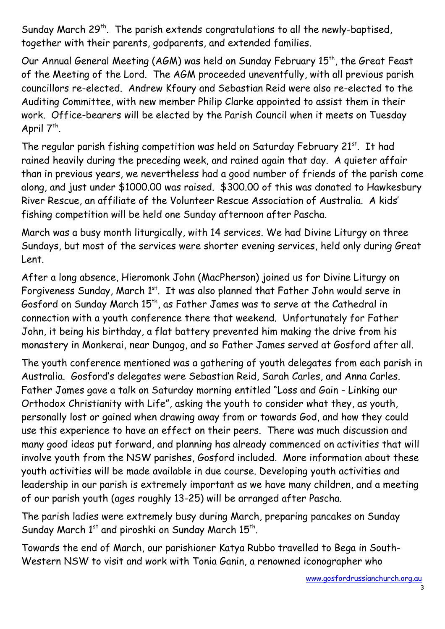Sunday March  $29<sup>th</sup>$ . The parish extends congratulations to all the newly-baptised, together with their parents, godparents, and extended families.

Our Annual General Meeting (AGM) was held on Sunday February 15<sup>th</sup>, the Great Feast of the Meeting of the Lord. The AGM proceeded uneventfully, with all previous parish councillors re-elected. Andrew Kfoury and Sebastian Reid were also re-elected to the Auditing Committee, with new member Philip Clarke appointed to assist them in their work. Office-bearers will be elected by the Parish Council when it meets on Tuesday April  $7^{th}$ .

The regular parish fishing competition was held on Saturday February 21<sup>st</sup>. It had rained heavily during the preceding week, and rained again that day. A quieter affair than in previous years, we nevertheless had a good number of friends of the parish come along, and just under \$1000.00 was raised. \$300.00 of this was donated to Hawkesbury River Rescue, an affiliate of the Volunteer Rescue Association of Australia. A kids' fishing competition will be held one Sunday afternoon after Pascha.

March was a busy month liturgically, with 14 services. We had Divine Liturgy on three Sundays, but most of the services were shorter evening services, held only during Great Lent.

After a long absence, Hieromonk John (MacPherson) joined us for Divine Liturgy on Forgiveness Sunday, March 1<sup>st</sup>. It was also planned that Father John would serve in Gosford on Sunday March 15<sup>th</sup>, as Father James was to serve at the Cathedral in connection with a youth conference there that weekend. Unfortunately for Father John, it being his birthday, a flat battery prevented him making the drive from his monastery in Monkerai, near Dungog, and so Father James served at Gosford after all.

The youth conference mentioned was a gathering of youth delegates from each parish in Australia. Gosford's delegates were Sebastian Reid, Sarah Carles, and Anna Carles. Father James gave a talk on Saturday morning entitled "Loss and Gain - Linking our Orthodox Christianity with Life", asking the youth to consider what they, as youth, personally lost or gained when drawing away from or towards God, and how they could use this experience to have an effect on their peers. There was much discussion and many good ideas put forward, and planning has already commenced on activities that will involve youth from the NSW parishes, Gosford included. More information about these youth activities will be made available in due course. Developing youth activities and leadership in our parish is extremely important as we have many children, and a meeting of our parish youth (ages roughly 13-25) will be arranged after Pascha.

The parish ladies were extremely busy during March, preparing pancakes on Sunday Sunday March  $1<sup>st</sup>$  and piroshki on Sunday March  $15<sup>th</sup>$ .

Towards the end of March, our parishioner Katya Rubbo travelled to Bega in South-Western NSW to visit and work with Tonia Ganin, a renowned iconographer who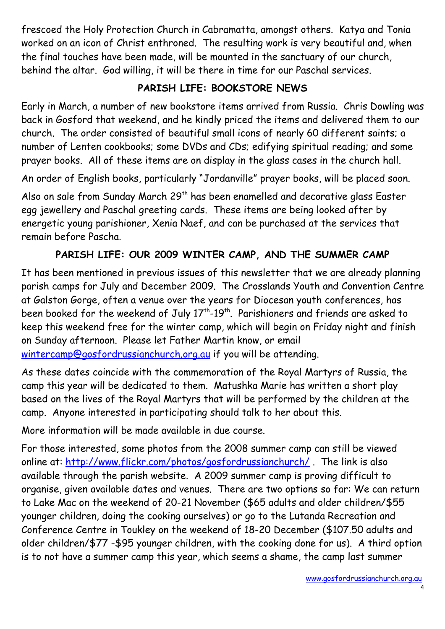frescoed the Holy Protection Church in Cabramatta, amongst others. Katya and Tonia worked on an icon of Christ enthroned. The resulting work is very beautiful and, when the final touches have been made, will be mounted in the sanctuary of our church, behind the altar. God willing, it will be there in time for our Paschal services.

#### **PARISH LIFE: BOOKSTORE NEWS**

Early in March, a number of new bookstore items arrived from Russia. Chris Dowling was back in Gosford that weekend, and he kindly priced the items and delivered them to our church. The order consisted of beautiful small icons of nearly 60 different saints; a number of Lenten cookbooks; some DVDs and CDs; edifying spiritual reading; and some prayer books. All of these items are on display in the glass cases in the church hall.

An order of English books, particularly "Jordanville" prayer books, will be placed soon.

Also on sale from Sunday March 29<sup>th</sup> has been enamelled and decorative glass Easter egg jewellery and Paschal greeting cards. These items are being looked after by energetic young parishioner, Xenia Naef, and can be purchased at the services that remain before Pascha.

#### **PARISH LIFE: OUR 2009 WINTER CAMP, AND THE SUMMER CAMP**

It has been mentioned in previous issues of this newsletter that we are already planning parish camps for July and December 2009. The Crosslands Youth and Convention Centre at Galston Gorge, often a venue over the years for Diocesan youth conferences, has been booked for the weekend of July  $17<sup>th</sup>$ -19<sup>th</sup>. Parishioners and friends are asked to keep this weekend free for the winter camp, which will begin on Friday night and finish on Sunday afternoon. Please let Father Martin know, or email [wintercamp@gosfordrussianchurch.org.au](mailto:wintercamp@gosfordrussianchurch.org.au) if you will be attending.

As these dates coincide with the commemoration of the Royal Martyrs of Russia, the camp this year will be dedicated to them. Matushka Marie has written a short play based on the lives of the Royal Martyrs that will be performed by the children at the camp. Anyone interested in participating should talk to her about this.

More information will be made available in due course.

For those interested, some photos from the 2008 summer camp can still be viewed online at: http://www.flickr.com/photos/gosfordrussianchurch/. The link is also available through the parish website. A 2009 summer camp is proving difficult to organise, given available dates and venues. There are two options so far: We can return to Lake Mac on the weekend of 20-21 November (\$65 adults and older children/\$55 younger children, doing the cooking ourselves) or go to the Lutanda Recreation and Conference Centre in Toukley on the weekend of 18-20 December (\$107.50 adults and older children/\$77 -\$95 younger children, with the cooking done for us). A third option is to not have a summer camp this year, which seems a shame, the camp last summer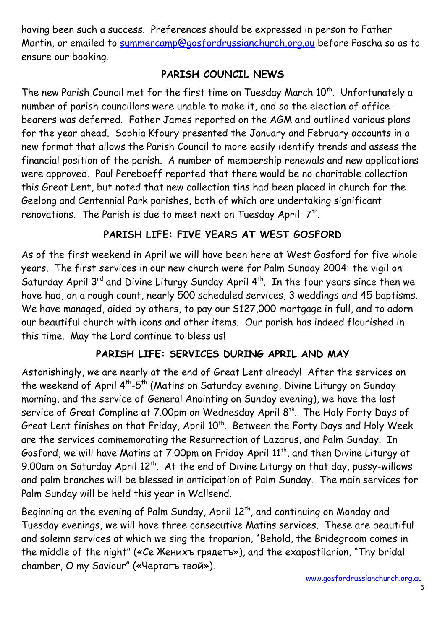having been such a success. Preferences should be expressed in person to Father Martin, or emailed to [summercamp@gosfordrussianchurch.org.au](mailto:summercamp@gosfordrussianchurch.org.au) before Pascha so as to ensure our booking.

#### **PARISH COUNCIL NEWS**

The new Parish Council met for the first time on Tuesday March 10<sup>th</sup>. Unfortunately a number of parish councillors were unable to make it, and so the election of officebearers was deferred. Father James reported on the AGM and outlined various plans for the year ahead. Sophia Kfoury presented the January and February accounts in a new format that allows the Parish Council to more easily identify trends and assess the financial position of the parish. A number of membership renewals and new applications were approved. Paul Pereboeff reported that there would be no charitable collection this Great Lent, but noted that new collection tins had been placed in church for the Geelong and Centennial Park parishes, both of which are undertaking significant renovations. The Parish is due to meet next on Tuesday April  $\mathsf{\mathsf{7}}^{\mathsf{th}}.$ 

## **PARISH LIFE: FIVE YEARS AT WEST GOSFORD**

As of the first weekend in April we will have been here at West Gosford for five whole years. The first services in our new church were for Palm Sunday 2004: the vigil on Saturday April  $3^{rd}$  and Divine Liturgy Sunday April  $4^{th}$ . In the four years since then we have had, on a rough count, nearly 500 scheduled services, 3 weddings and 45 baptisms. We have managed, aided by others, to pay our \$127,000 mortgage in full, and to adorn our beautiful church with icons and other items. Our parish has indeed flourished in this time. May the Lord continue to bless us!

# **PARISH LIFE: SERVICES DURING APRIL AND MAY**

Astonishingly, we are nearly at the end of Great Lent already! After the services on the weekend of April 4<sup>th</sup>-5<sup>th</sup> (Matins on Saturday evening, Divine Liturgy on Sunday morning, and the service of General Anointing on Sunday evening), we have the last service of Great Compline at 7.00pm on Wednesday April 8<sup>th</sup>. The Holy Forty Days of Great Lent finishes on that Friday, April 10<sup>th</sup>. Between the Forty Days and Holy Week are the services commemorating the Resurrection of Lazarus, and Palm Sunday. In Gosford, we will have Matins at 7.00pm on Friday April 11<sup>th</sup>, and then Divine Liturgy at 9.00am on Saturday April 12<sup>th</sup>. At the end of Divine Liturgy on that day, pussy-willows and palm branches will be blessed in anticipation of Palm Sunday. The main services for Palm Sunday will be held this year in Wallsend.

Beginning on the evening of Palm Sunday, April 12<sup>th</sup>, and continuing on Monday and Tuesday evenings, we will have three consecutive Matins services. These are beautiful and solemn services at which we sing the troparion, "Behold, the Bridegroom comes in the middle of the night" («Се Женихъ грядетъ»), and the exapostilarion, "Thy bridal chamber, O my Saviour" («Чертогъ твой»).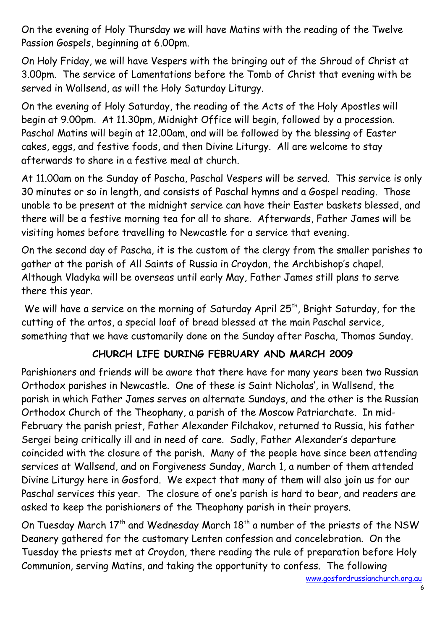On the evening of Holy Thursday we will have Matins with the reading of the Twelve Passion Gospels, beginning at 6.00pm.

On Holy Friday, we will have Vespers with the bringing out of the Shroud of Christ at 3.00pm. The service of Lamentations before the Tomb of Christ that evening with be served in Wallsend, as will the Holy Saturday Liturgy.

On the evening of Holy Saturday, the reading of the Acts of the Holy Apostles will begin at 9.00pm. At 11.30pm, Midnight Office will begin, followed by a procession. Paschal Matins will begin at 12.00am, and will be followed by the blessing of Easter cakes, eggs, and festive foods, and then Divine Liturgy. All are welcome to stay afterwards to share in a festive meal at church.

At 11.00am on the Sunday of Pascha, Paschal Vespers will be served. This service is only 30 minutes or so in length, and consists of Paschal hymns and a Gospel reading. Those unable to be present at the midnight service can have their Easter baskets blessed, and there will be a festive morning tea for all to share. Afterwards, Father James will be visiting homes before travelling to Newcastle for a service that evening.

On the second day of Pascha, it is the custom of the clergy from the smaller parishes to gather at the parish of All Saints of Russia in Croydon, the Archbishop's chapel. Although Vladyka will be overseas until early May, Father James still plans to serve there this year.

We will have a service on the morning of Saturday April 25<sup>th</sup>, Bright Saturday, for the cutting of the artos, a special loaf of bread blessed at the main Paschal service, something that we have customarily done on the Sunday after Pascha, Thomas Sunday.

# **CHURCH LIFE DURING FEBRUARY AND MARCH 2009**

Parishioners and friends will be aware that there have for many years been two Russian Orthodox parishes in Newcastle. One of these is Saint Nicholas', in Wallsend, the parish in which Father James serves on alternate Sundays, and the other is the Russian Orthodox Church of the Theophany, a parish of the Moscow Patriarchate. In mid-February the parish priest, Father Alexander Filchakov, returned to Russia, his father Sergei being critically ill and in need of care. Sadly, Father Alexander's departure coincided with the closure of the parish. Many of the people have since been attending services at Wallsend, and on Forgiveness Sunday, March 1, a number of them attended Divine Liturgy here in Gosford. We expect that many of them will also join us for our Paschal services this year. The closure of one's parish is hard to bear, and readers are asked to keep the parishioners of the Theophany parish in their prayers.

On Tuesday March 17<sup>th</sup> and Wednesday March 18<sup>th</sup> a number of the priests of the NSW Deanery gathered for the customary Lenten confession and concelebration. On the Tuesday the priests met at Croydon, there reading the rule of preparation before Holy Communion, serving Matins, and taking the opportunity to confess. The following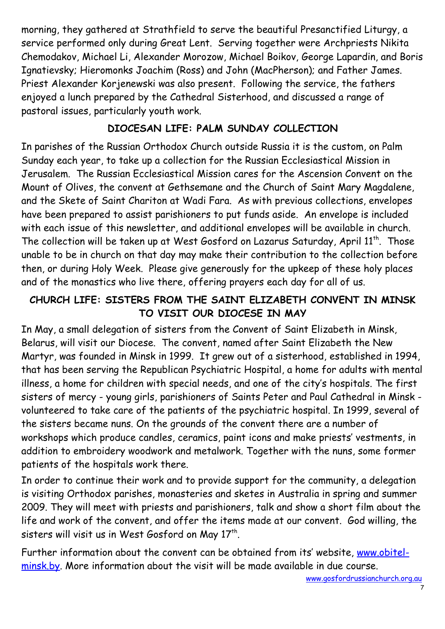morning, they gathered at Strathfield to serve the beautiful Presanctified Liturgy, a service performed only during Great Lent. Serving together were Archpriests Nikita Chemodakov, Michael Li, Alexander Morozow, Michael Boikov, George Lapardin, and Boris Ignatievsky; Hieromonks Joachim (Ross) and John (MacPherson); and Father James. Priest Alexander Korjenewski was also present. Following the service, the fathers enjoyed a lunch prepared by the Cathedral Sisterhood, and discussed a range of pastoral issues, particularly youth work.

## **DIOCESAN LIFE: PALM SUNDAY COLLECTION**

In parishes of the Russian Orthodox Church outside Russia it is the custom, on Palm Sunday each year, to take up a collection for the Russian Ecclesiastical Mission in Jerusalem. The Russian Ecclesiastical Mission cares for the Ascension Convent on the Mount of Olives, the convent at Gethsemane and the Church of Saint Mary Magdalene, and the Skete of Saint Chariton at Wadi Fara. As with previous collections, envelopes have been prepared to assist parishioners to put funds aside. An envelope is included with each issue of this newsletter, and additional envelopes will be available in church. The collection will be taken up at West Gosford on Lazarus Saturday, April 11<sup>th</sup>. Those unable to be in church on that day may make their contribution to the collection before then, or during Holy Week. Please give generously for the upkeep of these holy places and of the monastics who live there, offering prayers each day for all of us.

# **CHURCH LIFE: SISTERS FROM THE SAINT ELIZABETH CONVENT IN MINSK TO VISIT OUR DIOCESE IN MAY**

In May, a small delegation of sisters from the Convent of Saint Elizabeth in Minsk, Belarus, will visit our Diocese. The convent, named after Saint Elizabeth the New Martyr, was founded in Minsk in 1999. It grew out of a sisterhood, established in 1994, that has been serving the Republican Psychiatric Hospital, a home for adults with mental illness, a home for children with special needs, and one of the city's hospitals. The first sisters of mercy - young girls, parishioners of Saints Peter and Paul Cathedral in Minsk volunteered to take care of the patients of the psychiatric hospital. In 1999, several of the sisters became nuns. On the grounds of the convent there are a number of workshops which produce candles, ceramics, paint icons and make priests' vestments, in addition to embroidery woodwork and metalwork. Together with the nuns, some former patients of the hospitals work there.

In order to continue their work and to provide support for the community, a delegation is visiting Orthodox parishes, monasteries and sketes in Australia in spring and summer 2009. They will meet with priests and parishioners, talk and show a short film about the life and work of the convent, and offer the items made at our convent. God willing, the sisters will visit us in West Gosford on May  $17<sup>th</sup>$ .

Further information about the convent can be obtained from its' website, [www.obitel](http://www.obitel-minsk.by/)[minsk.by.](http://www.obitel-minsk.by/) More information about the visit will be made available in due course.